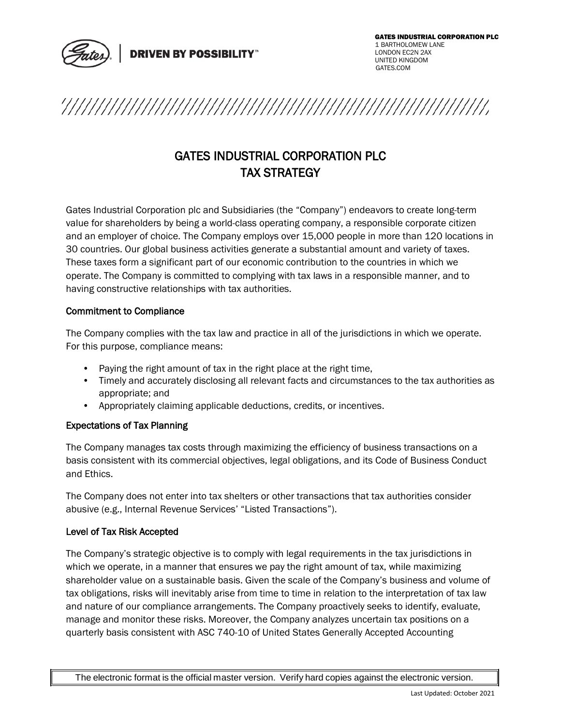



# GATES INDUSTRIAL CORPORATION PLC TAX STRATEGY

Gates Industrial Corporation plc and Subsidiaries (the "Company") endeavors to create long-term value for shareholders by being a world-class operating company, a responsible corporate citizen and an employer of choice. The Company employs over 15,000 people in more than 120 locations in 30 countries. Our global business activities generate a substantial amount and variety of taxes. These taxes form a significant part of our economic contribution to the countries in which we operate. The Company is committed to complying with tax laws in a responsible manner, and to having constructive relationships with tax authorities.

## Commitment to Compliance

The Company complies with the tax law and practice in all of the jurisdictions in which we operate. For this purpose, compliance means:

- Paying the right amount of tax in the right place at the right time,
- Timely and accurately disclosing all relevant facts and circumstances to the tax authorities as appropriate; and
- Appropriately claiming applicable deductions, credits, or incentives.

## Expectations of Tax Planning

The Company manages tax costs through maximizing the efficiency of business transactions on a basis consistent with its commercial objectives, legal obligations, and its Code of Business Conduct and Ethics.

The Company does not enter into tax shelters or other transactions that tax authorities consider abusive (e.g., Internal Revenue Services' "Listed Transactions").

## Level of Tax Risk Accepted

The Company's strategic objective is to comply with legal requirements in the tax jurisdictions in which we operate, in a manner that ensures we pay the right amount of tax, while maximizing shareholder value on a sustainable basis. Given the scale of the Company's business and volume of tax obligations, risks will inevitably arise from time to time in relation to the interpretation of tax law and nature of our compliance arrangements. The Company proactively seeks to identify, evaluate, manage and monitor these risks. Moreover, the Company analyzes uncertain tax positions on a quarterly basis consistent with ASC 740-10 of United States Generally Accepted Accounting